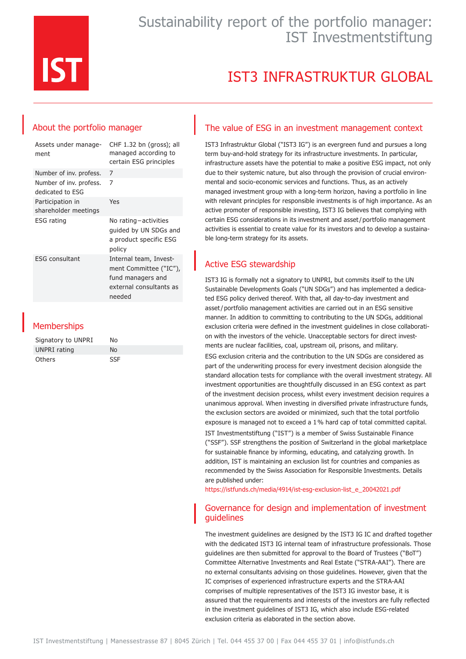

# IST3 INFRASTRUKTUR GLOBAL

## About the portfolio manager

| Assets under manage-<br>ment                | CHF 1.32 bn (gross); all<br>managed according to<br>certain ESG principles                                 |
|---------------------------------------------|------------------------------------------------------------------------------------------------------------|
| Number of inv. profess.                     | 7                                                                                                          |
| Number of inv. profess.<br>dedicated to ESG | 7                                                                                                          |
| Participation in<br>shareholder meetings    | Yes                                                                                                        |
| <b>ESG</b> rating                           | No rating-activities<br>quided by UN SDGs and<br>a product specific ESG<br>policy                          |
| <b>ESG</b> consultant                       | Internal team, Invest-<br>ment Committee ("IC"),<br>fund managers and<br>external consultants as<br>needed |
|                                             |                                                                                                            |

### **Memberships**

| Signatory to UNPRI | N٥         |
|--------------------|------------|
| UNPRI rating       | N٥         |
| <b>Others</b>      | <b>SSF</b> |

### The value of ESG in an investment management context

IST3 Infrastruktur Global ("IST3 IG") is an evergreen fund and pursues a long term buy-and-hold strategy for its infrastructure investments. In particular, infrastructure assets have the potential to make a positive ESG impact, not only due to their systemic nature, but also through the provision of crucial environmental and socio-economic services and functions. Thus, as an actively managed investment group with a long-term horizon, having a portfolio in line with relevant principles for responsible investments is of high importance. As an active promoter of responsible investing, IST3 IG believes that complying with certain ESG considerations in its investment and asset/portfolio management activities is essential to create value for its investors and to develop a sustainable long-term strategy for its assets.

### Active ESG stewardship

IST3 IG is formally not a signatory to UNPRI, but commits itself to the UN Sustainable Developments Goals ("UN SDGs") and has implemented a dedicated ESG policy derived thereof. With that, all day-to-day investment and asset/portfolio management activities are carried out in an ESG sensitive manner. In addition to committing to contributing to the UN SDGs, additional exclusion criteria were defined in the investment guidelines in close collaboration with the investors of the vehicle. Unacceptable sectors for direct investments are nuclear facilities, coal, upstream oil, prisons, and military. ESG exclusion criteria and the contribution to the UN SDGs are considered as part of the underwriting process for every investment decision alongside the standard allocation tests for compliance with the overall investment strategy. All investment opportunities are thoughtfully discussed in an ESG context as part of the investment decision process, whilst every investment decision requires a unanimous approval. When investing in diversified private infrastructure funds, the exclusion sectors are avoided or minimized, such that the total portfolio exposure is managed not to exceed a 1% hard cap of total committed capital.

IST Investmentstiftung ("IST") is a member of Swiss Sustainable Finance ("SSF"). SSF strengthens the position of Switzerland in the global marketplace for sustainable finance by informing, educating, and catalyzing growth. In addition, IST is maintaining an exclusion list for countries and companies as recommended by the Swiss Association for Responsible Investments. Details are published under:

[https://istfunds.ch/media/4914/ist-esg-exclusion-list\\_e\\_20042021.pdf](https://istfunds.ch/media/4914/ist-esg-exclusion-list_e_20042021.pdf)

#### Governance for design and implementation of investment guidelines

The investment guidelines are designed by the IST3 IG IC and drafted together with the dedicated IST3 IG internal team of infrastructure professionals. Those guidelines are then submitted for approval to the Board of Trustees ("BoT") Committee Alternative Investments and Real Estate ("STRA-AAI"). There are no external consultants advising on those guidelines. However, given that the IC comprises of experienced infrastructure experts and the STRA-AAI comprises of multiple representatives of the IST3 IG investor base, it is assured that the requirements and interests of the investors are fully reflected in the investment guidelines of IST3 IG, which also include ESG-related exclusion criteria as elaborated in the section above.